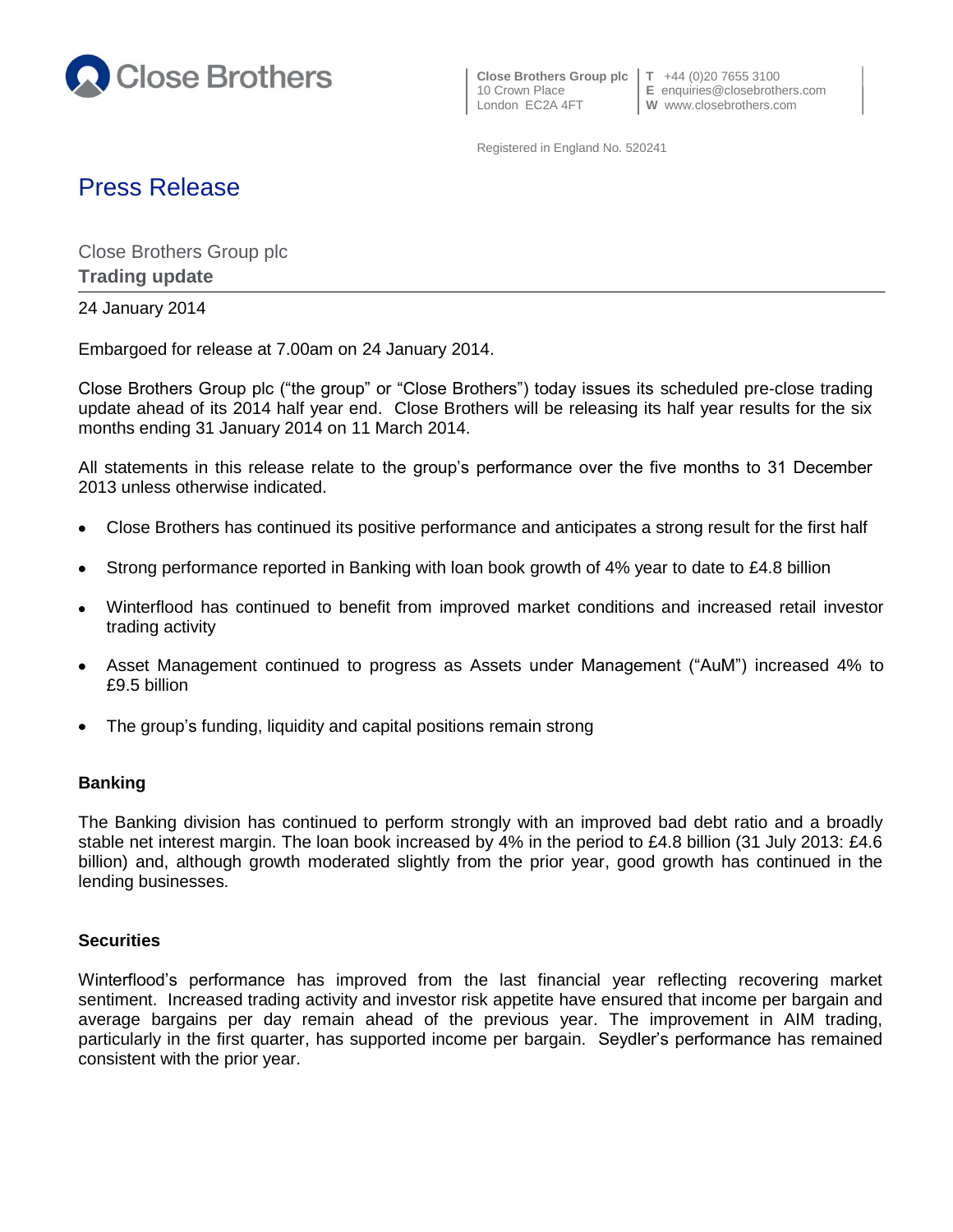

 **Close Brothers Group plc T** +44 (0)20 7655 3100 London EC2A 4FT **W** www.closebrothers.com

10 Crown Place **E** enquiries@closebrothers.com

Registered in England No. 520241

# Press Release

Close Brothers Group plc **Trading update**

24 January 2014

Embargoed for release at 7.00am on 24 January 2014.

Close Brothers Group plc ("the group" or "Close Brothers") today issues its scheduled pre-close trading update ahead of its 2014 half year end. Close Brothers will be releasing its half year results for the six months ending 31 January 2014 on 11 March 2014.

All statements in this release relate to the group's performance over the five months to 31 December 2013 unless otherwise indicated.

- Close Brothers has continued its positive performance and anticipates a strong result for the first half
- Strong performance reported in Banking with loan book growth of 4% year to date to £4.8 billion
- Winterflood has continued to benefit from improved market conditions and increased retail investor trading activity
- Asset Management continued to progress as Assets under Management ("AuM") increased 4% to  $\bullet$ £9.5 billion
- The group's funding, liquidity and capital positions remain strong

## **Banking**

The Banking division has continued to perform strongly with an improved bad debt ratio and a broadly stable net interest margin. The loan book increased by 4% in the period to £4.8 billion (31 July 2013: £4.6 billion) and, although growth moderated slightly from the prior year, good growth has continued in the lending businesses.

## **Securities**

Winterflood's performance has improved from the last financial year reflecting recovering market sentiment. Increased trading activity and investor risk appetite have ensured that income per bargain and average bargains per day remain ahead of the previous year. The improvement in AIM trading, particularly in the first quarter, has supported income per bargain. Seydler's performance has remained consistent with the prior year.